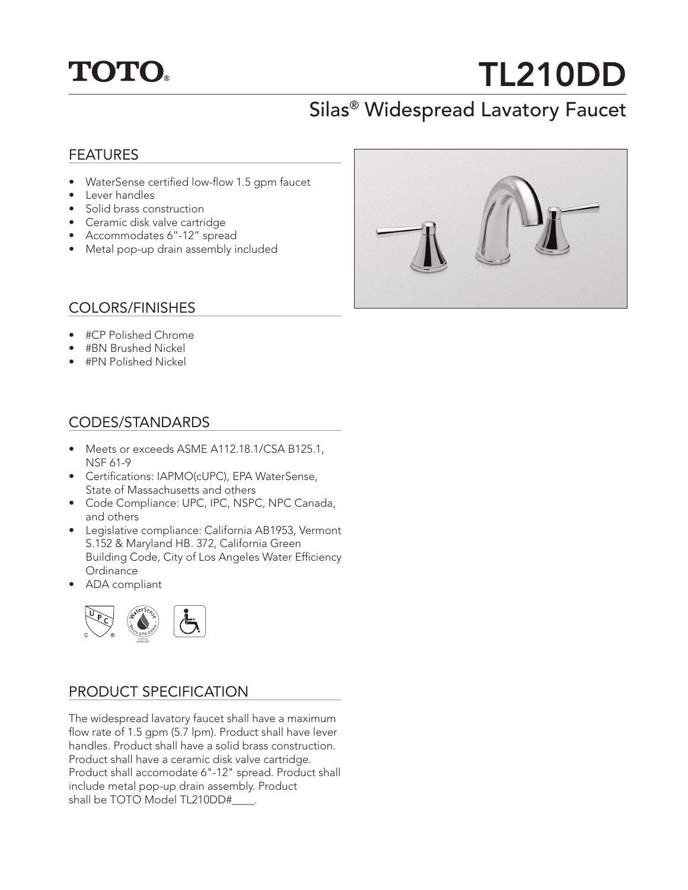## **TOTO.**

# TL210DD

### Silas® Widespread Lavatory Faucet

#### FEATURES

- WaterSense certified low-flow 1.5 gpm faucet
- Lever handles
- Solid brass construction
- Ceramic disk valve cartridge
- Accommodates 6"-12" spread
- Metal pop-up drain assembly included



#### COLORS/FINISHES

- #CP Polished Chrome
- #BN Brushed Nickel
- #PN Polished Nickel

#### CODES/STANDARDS

- Meets or exceeds ASME A112.18.1/CSA B125.1, NSF 61-9
- Certifications: IAPMO(cUPC), EPA WaterSense, State of Massachusetts and others
- Code Compliance: UPC, IPC, NSPC, NPC Canada, and others
- Legislative compliance: California AB1953, Vermont S.152 & Maryland HB. 372, California Green Building Code, City of Los Angeles Water Efficiency **Ordinance**
- ADA compliant



#### PRODUCT SPECIFICATION

The widespread lavatory faucet shall have a maximum flow rate of 1.5 gpm (5.7 lpm). Product shall have lever handles. Product shall have a solid brass construction. Product shall have a ceramic disk valve cartridge. Product shall accomodate 6"-12" spread. Product shall include metal pop-up drain assembly. Product shall be TOTO Model TL210DD#\_\_\_\_\_.